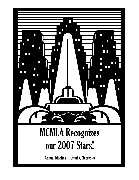

# MCMLA Recognizes our 2007 Stars!

Annual Meeting – Omaha, Nebraska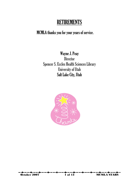# **RETIREMENTS**

MCMLA thanks you for your years of service.

Wayne J. Peay **Director** Spencer S. Eccles Health Sciences Library University of Utah Salt Lake City, Utah

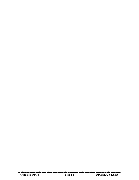October 2007 2 of 13 MCMLA STARS ---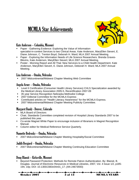# MCMLA Star Achievements



#### Kate Anderson – Columbia, Missouri

- Paper Gathering Evidence: Exploring the Value of Informationspecialist-in-context Services to two Clinical Areas. Kate Anderson, MaryEllen Sievert, E. Diane Johnson, C. Trenton Boyd, Deborah H. Ward; MLA 2007 Annual Meeting.
- Paper Exploring the Information Needs of Life Science Researchers. Brenda Graves-Blevins, Kate Anderson, MaryEllen Sievert; MLA 2007 Annual Meeting.
- Poster Morning Report and All That: New Services to a Child Health Department. Kate Anderson, MaryEllen Sievert, E. Diane Johnson, Deborah H. Ward; MLA 2007 Annual Meeting.

#### Lisa Anderson – Omaha, Nebraska

2007 Midcontinental/Midwest Chapter Meeting Web Committee

#### Angela Arner – Omaha, Nebraska

- Level II Certification (Consumer Health Library Services) CHLS Specialization awarded by the Medical Library Association 2005-5, Recertification 2007-09
- 35 year Service Recognition Nebraska Methodist College
- **2007 Editorial Committee for the MCMLA Express**
- Contributed articles on "Health Literacy Awareness" for the MCMLA Express.
- **2007 Midcontinental/Midwest Chapter Meeting Publicity Committee.**

#### Margaret Bandy - Denver, Colorado

- **NLA Board of Directors**
- Chair, Standards Committee completed revision of Hospital Library Standards 2007 to be published this year.
- Co-wrote Magnet White Paper to encourage inclusion of librarians in Magnet Recognition Manual.
- **Column editor for Medical Reference Service Quarterly.**

#### Nannette Bedrosky – Omaha, Nebraska

2007 Midcontinental/Midwest Chapter Meeting Hospitality/Social Committee

#### Judith Bergjord – Omaha, Nebraska

2007 Midcontinental/Midwest Chapter Meeting Continuing Education Committee

#### Doug Blansit – Kirksville, Missouri

 Beyond Password Protection: Methods for Remote Patron Authentication. By: Blansit, B. Douglas. Journal of Electronic Resources in Medical Libraries, 2007, Vol. 4 Issue 1/2, p185- 194, 10p; DOI: 10.1300/J383v04n01\_17; (AN 24673593)

October 2007 3 of 13 MCMLA STARS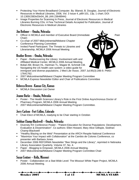- Protecting Your Home Broadband Computer. By: Blansit, B. Douglas. Journal of Electronic Resources in Medical Libraries, 2006, Vol. 3 Issue 4, p89-101, 13p, 1 chart; DOI: 10.1300/J383v03n04\_08; (AN 23648944)
- Image Properties for Scanning In Press, Journal of Electronic Resources in Medical Libraries Burning CDs: A Few Technical Details Accepted for Publication, Journal of Electronic Resources in Medical Libraries

# Jim Bothmer – Omaha, Nebraska

- Officer in MCMLA and member of Executive Board (Immediate  $\qquad \qquad$  Past Chair)
- **Co-chair of 2007 Midcontinental/Midwest Chapter** Conference Planning Committee
- Invited Panel Participant: The Threats to Libraries and Librarianship, MCMLA 2006 Annual Meeting

# Heather Brown – Omaha, Nebraska

- Paper Rediscovering the Library: Involvement with and Affiliated Medical Center, MCMLA 2006 Annual Meeting.
- **Bobal AM, Brown HL, Hartman TL, Magee M, Schmidt CM.** Navigating the US health care system: a video guide for immigrant and diverse populations. J Med Libr Assoc. 2007 Jul;95(3):286-9. PMID: 17641762.
- 2007 Midcontinental/Midwest Chapter Meeting Program Committee
- MCMLA Express Newsletter Editor and Chair of Publications Committee

# Rebecca Brown - Kansas City, Kansas

MCMLA Discussion List Owner

# Jeanne Burke – Omaha, Nebraska

- Poster The Health Sciences Library's Role in the First Online Asynchronous Doctor of Pharmacy Program, MCMLA 2006 Annual Meeting.
- 2007 Midcontinental/Midwest Chapter Meeting Program Committee.

# Jerry Carlson - Fort Collins, Colorado

• Chair-Elect of MCMLA, readying to be Chair starting in October.

# Siobhan Champ-Blackwell – Omaha, Nebraska

- **Diversity RX Conference Poster "Patient Education for Diverse Populations: Development,** Evaluation & Dissemination". Co authors: Ellen Howard, Mary Alice Gillispie, Siobhan Champ-Blackwell
- "Healthy Blazing on the Web" Presentation at the ARCH Respite National Conference
- "Maximize Your Impact with Collaboration" at the Cambio de Colores Conference, co presenter with Barbara Jones
- December 2006 REFORMA Newsletter "Bee Stings and the Library", reprinted in Nebraska Library Association Quarterly, Volume 37, No. 4.
- **Paper Blogging to Empower, MCMLA 2006 Annual Meeting.**
- 2007 Midcontinental/Midwest Chapter Meeting Program Committee Chair

# Susan Centner – Rolla, Missouri

 Poster - Collaboration on a Stat-Wide Level: The Missouri White Paper Project, MCMLA 2006 Annual Meeting.



October 2007 4 of 13 MCMLA STARS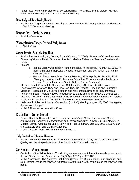Paper - Let No Health Professional Be Left Behind: The MAHEC Digital Library, MCMLA 2006 Annual Meeting and MLA 2007 Annual Meeting.

#### Dean Cody – Edwardsville, Illinois

 Poster - Building a Gateway to Learning and Research for Pharmacy Students and Faculty, MCMLA 2006 Annual Meeting.

# Roxanne Cox – Omaha, Nebraska

**•** Publicity Committee

# Whitney Davison-Turley - Overland Park, Kansas

MCMLA Chair

#### Sharon Dennis - Salt Lake City, Utah

- Publication: Lombardo, N., Dennis, S., and Cowan, D. (2007) "Streams of Consciousness: Streaming Video in Health Sciences Libraries", Medical Reference Services Quarterly, (In Press).
- **Posters:** 
	- o Medical Library Association Annual Meeting, Philadelphia, PA, May 20, 2007. "A Multimedia Digital Repository Needs Assessment and Evaluation: Comparing 2003 and 2006".
	- o Medical Library Association Annual Meeting, Philadelphia, PA, May 21, 2007. "Changing the Way We Do Distance Education: Experiences with the Access Grid and Personal Interface Grid to Deliver Online Seminars".
- Classes taught: Slice of Life Conference, Salt Lake City, UT. June 26, 2007. Web 2.0 Technologies: What Are They and How Can They Be Used for Teaching and Learning?
- Distance Presentations via Skype/Festoon and Macromedia Breeze to MidContinental Region members, February 2007. "Introduction to Blogs and Wikis" (MLA CE accredited).
- Distance Presentation via Macromedia Breeze to MidContinental Region members, October 4, 25, and November 4, 2006. "RSS: The New Current Awareness Service."
- Utah Health Sciences Libraries Consortium (UHSLC) Meeting, August 28, 2006. "Navigating the Network Jungle."
- **MCMLA Nominating Committee Chair.**

# Roz Dudden – Denver, Colorado

- Book Dudden, Rosalind Farnam. *Using Benchmarking, Needs Assessment, Quality Improvement, Outcome Measurement, and Library Standards: A How-To-Do-It Manual* (A Medical Library Association Book). New York: Neal-Schuman, Due July 2007.1-55570-604- 5. 8 1/2 x 11. Book and CD-ROM. 298 pp.
- **MCMLA Liaison to the Benchmarking Committee.**

#### Judy Feintuch – Columbia, Missouri

 Poster - Teachable Moments: How Combining the Medical Library and CME Can Improve Quality and the Hospital's Bottom Line, MCMLA 2006 Annual Meeting.

#### Sue Fleming – Wichita, Kansas

- Co-Author of the JMLA Article: "Conducting a user-centered information needs assessment: the Via Christi Libraries' experience. 95(2) April 2007; pgs.173-180.
- MCMLA Archivist The Archives Task Force (Lynne Fox, Russ Monika, Joan Stoddart, and Sue Fleming) made the MCMLA "Express" 1979 through 2003 available on the MCMLA web page.

October 2007 5 of 13 MCMLA STARS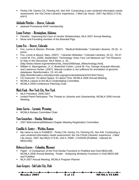Perley CM, Gentry CA, Fleming AS, Sen KM. Conducting a user-centered information needs assessment: the Via Christi Libraries' experience. J Med Libr Assoc. 2007 Apr;95(2):173-81, e54-5.

#### Adelaide Fletcher – Denver, Colorado

**attained Provisional AHIP membership** 

#### Lynne Fortney – Birmingham, Alabama

- Panelist Improving the Face of Vendor Relationships; MLA 2007 Annual Meeting.
- Muse and Founding member of the Bearded Pigs.

# Lynne Fox – Denver, Colorado

- Fox, Lynne & Altonen, Rhonda. (2007) . "Medical Multimedia." Colorado Libraries, 33 (3) : in press.
- Fox, Lynne & Mauck, Mary. (2007) . "Librarian Websites." Colorado Libraries, 33 (1) : 35-37.
- Lynne M. Fox. (2006, September). Technology: Does Your List Measure Up? Ten Reasons to Stay in the Discussion. MLA News, p. 25, [http://www.mlanet.org/members/mla\_news/2006/sept\_06/technology.html].
- William A. Baumgartner, Jr, K. Bretonnel Cohen, Lynne M. Fox, George Acquaah-Mensah, and Lawrence Hunter. (2007). Manual curation is not sufficient for annotation of genomic databases. Bioinformatics. 23: i41-i48.
- [http://bioinformatics.oxfordjournals.org/cgi/content/abstract/23/13/i41?etoc].
- CE Instructor: It's about Space, It's about Time, MCMLA 2006 Annual Meeting.
- **MCMLA Liaison to the MLA Credentialing Committee.**
- **MCMLA 2009 Conference Planning Chair.**

# Mark Funk - New York City, New York

- **MLA President, 2006-2007.**
- **Invited Panel Participant: The Threats to Libraries and Librarianship, MCMLA 2006 Annual** Meeting.

#### Jenny Garcia – Laramie, Wyoming

**• MCMLA Bylaws Committee Chair** 

#### Tom Gensichen – Omaha, Nebraska

**2007 Midcontinental/Midwest Chapter Meeting Registration Committee.** 

# Camillia A. Gentry – Wichita, Kansas

 My name is now in PubMED! Perley CM, Gentry CA, Fleming AS, Sen KM. Conducting a user-centered information needs assessment: the Via Christi Libraries' experience. J Med Libr Assoc. 2007 Apr;95(2):173-81, e54-5. PMID: 17443250 [PubMed - indexed for MEDLINE]

#### Rebecca Graves – Columbia, Missouri

- Paper A Comparison of the Find Similar Functions in PubMed and Ovid MEDLINE, MCMLA 2006 Annual Meeting. Poster - Analyzing Similarity Functions in Ovid MEDLINE and PubMed
- **MLA 2007 Annual Meeting. MCMLA Program Planner.**

# Joan Gregory - Salt Lake City, Utah

October 2007 6 of 13 MCMLA STARS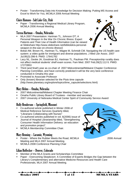Poster - Transforming Data into Knowledge for Decision Making: Putting MS Access and Excel to Work for You, MCMLA 2006 Annual Meeting

## Claire Hamasu - Salt Lake City, Utah

 Paper - Transforming a Regional Medical Library Program, MCMLA 2006 Annual Meeting

#### Teresa Hartman – Omaha, Nebraska

 MLA 2007 Presentation: Hartman TL, Johnson DT; A Personal Weapon In the War On Chronic Illness: Expert Patients and Their Use of Health Information (can be viewed at Slideshare http://www.slideshare.net/bibliotek/a-personalweapon-in-the-war-on-chronic-illness/)



- Bobal AM, Brown HL, Hartman TL, Magee M, Schmidt CM. Navigating the US health care system: a video guide for immigrant and diverse populations. J Med Libr Assoc. 2007 Jul;95(3):286-9. PMID: 17641762
- Lacy NL, Geske JA, Goodman BJ, Hartman TL, Paulman PM. Preceptorship rurality does not affect medical students' shelf exam scores. Fam Med. 2007 Feb;39(2):112-5. PMID: 17273953
- Third (and final!) year as co-chair of 2007 Midcontinental/Midwest Chapter Conference Planning Committee, and have correctly predicted it will be the very best conference conducted in Omaha this year
- **Promoted to Associate Professor**
- Only (known) librarian selected for the Pluto time capsule (http://www.planetary.org/explore/topics/time\_capsule/selections.html)

# Mary Helms – Omaha, Nebraska

- 2007 Midcontinental/Midwest Chapter Meeting Finance Chair
- **Omaha Public Library Board of Trustees member and secretary**
- 2007 University of Nebraska Medical Center Spirit of Community Service Award

# Holly Henderson – Springfield, Missouri

- Co-authored article published in Winter 2006 of Medical Reference Services Quarterly titled, "Librarians Collaborating with Nurses"
- Co-authored articles published in vol. 6(2006) issue of Journal of Hospital Librarianship titled, "Strengthening Consumer Health Information Delivery: an education and promotion project".
- **MCMLA Membership Committee Chair.**

#### Mary Henning – Laramie, Wyoming

- Poster Where the Rubber Meets the Road, MCMLA 2006 Annual Meeting and MLA 2007 Annual Meeting.
- MCMLA 2008 Conference Planning Chair

#### Lilian Hoffecker – Denver, Colorado

- Member of the MLA Grants and Scholarships Committee
- Paper Overcoming Skepticism: A Committee of Experts Bridges the Gap between the Library's Complementary and alternative Medicine Resources and Health Care Professionals, MLA 2007 Annual Meeting.



October 2007 7 of 13 MCMLA STARS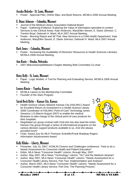## Assako Holyoke - St. Louis, Missouri

Poster - Approval Plan, Online Slips, and Book Returns, MCMLA 2006 Annual Meeting.

#### E. Diane Johnson – Columbia, Missouri

- Journal of the Medical Library Association Editorial Board
- Paper Gathering Evidence: Exploring the Value of Information-specialist-in-context Services to two Clinical Areas. Kate Anderson, MaryEllen Sievert, E. Diane Johnson, C. Trenton Boyd, Deborah H. Ward, MLA 2007 Annual Meeting.
- Poster Morning Report and All That: New Services to a Child Health Department. Kate Anderson, MaryEllen Sievert, E. Diane Johnson, Deborah H. Ward; MLA 2007 Annual Meeting.

#### Barb Jones – Columbia, Missouri

 Poster - Increasing the Availability of Electroinc Resources to Health Sciences Libraries, MCMLA 2006 Annual Meeting.

#### Ann Kaste – Omaha, Nebraska

2007 Midcontinental/Midwest Chapter Meeting Web Committee Co-chair

#### Betsy Kelly - St. Louis, Missouri

 Paper - Logic Models: A Tool for Planning and Evaluating Service, MCMLA 2006 Annual Meeting

#### Lenora Kinzie – Topeka, Kansas

- MCMLA Liaison to the Membership Committee
- **FILT** Founder of the Stars Program

#### Sarah Beck Kirby – Kansas City, Kansas

- Health Science Library Network Kansas City (HSLNKC) Award for Excellent Return on Investment in a Health Science Library
- **2006 Coordinator of HSLNKC Point-of-Care Technology series** Sessions 1-6 (March-August 2007) to enable the medical librarians to take charge of the clinical point-of-care products for their hospitals.
- Negotiated our group contract with Ovid she has also lead the entire Kansas City group through a series of informational programs on the various decision support products available to us. And she always provided lunch!
- Chair, Award Jury for MLA Thomson Scientific/Frank Bradway Rogers Information Advancement Award

#### Kelly Klinke – Liberty, Missouri

- Presenter, July 19, 2007, KCMLIN Choices and Challenges conference: "How to do a Needs Assessment for Consumer Health and Patient Education"
- Editor, MLA News "Consumer Health" column, through May, 2007.
- Author, May 2007, MLA News "Technology" column: "HL7 and the Medical Librarian".
- Author, May 2007, MLA News "Consumer Health" column: "Needs Assessment for a Consumer Health Library Service, Part Two: Implementation and Analysis".
- Author, March 2007, MLA News "Consumer Health" column: "Needs Assessment for a Consumer Health Library Service, Part One: The Planning Process".



October 2007 8 of 13 MCMLA STARS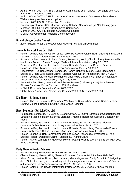- Author, Winter 2007, CAPHIS Consumer Connections book review: "Teenagers with ADD and ADHD : a parents' guide".
- Author, Winter 2007, CAPHIS Consumer Connections article: "No external links allowed? Web content providers are an option".
- **Member, 2007 HSLNKC Education Committee.**
- Grant recipient, April 2007, Missouri Library Network Corporation (MLNC) lodging grant.
- Member, 2008 MLA Local Arrangements Committee.
- Member, 2007 CAPHIS Honors & Awards Committee.
- MCMLA Governmental Relations Committee Chair

# Nicole Koberg – Omaha, Nebraska

2007 Midcontinental/Midwest Chapter Meeting Registration Committee

# Jeanne Le Ber - Salt Lake City, Utah

- Poster Le Ber, Jeanne; Quilter, Julie. Tablet PC Use Revolutionized Teaching and Student Learning. Medical Library Association, May 21, 2007.
- Poster Le Ber, Jeanne; Roberts, Susan; Romeo, Al; Norlin, Chuck. Library Partners with MedHome Portal to Create Change. Medical Library Association, May 22, 2007.
- Poster Le Ber, Jeanne; Lombardo, Nancy; Roberts, Susan. Its a Breeze: Pioneer Database Online Tutorials. Utah Library Association, May 17-18, 2007.
- Presentation Le Ber, Jeanne; Lombardo, Nancy; Roberts, Susan. Using Macromedia Breeze to Create Web-based Online Tutorials. Utah Library Association, May 17, 2007.
- Poster Le Ber, Jeanne. Utah MedHome Portal Helps Children with Special Healthcare Needs. Utah Library Association, May 17-18, 2007.
- Jeanne Le Ber, Nancy Lombardo and Susan Roberts (co-investigators). Its a Breeze: Pioneer Database Online Tutorials. LSTA Mini Grant.
- **MCMLA Research Committee Chair 2006-2007**
- Utah Library Association, Nominating Co-chair 2006-2007, Chair 2007-2008

# Kim Lipsey - St. Louis, Missouri

 Poster - The Bioinformatics Program at Washington University's Bernard Becker Medical Library: Making it Happen, MCMLA 2006 Annual Meeting.

# Nancy Lombardo - Salt Lake City, Utah

- Publication: Lombardo, N., Dennis, S., and Cowan, D. (2007) "Streams of Consciousness: Streaming Video in Health Sciences Libraries", Medical Reference Services Quarterly, (In Press).
- Poster Le Ber, Jeanne; Lombardo, Nancy; Roberts, Susan. Its a Breeze: Pioneer Database Online Tutorials. Utah Library Association, May 17-18, 2007.
- Poster Le Ber, Jeanne; Lombardo, Nancy; Roberts, Susan. Using Macromedia Breeze to Create Web-based Online Tutorials. Utah Library Association, May 17, 2007.
- Poster Jeanne Le Ber, Nancy Lombardo and Susan Roberts (co-investigators). Its a Breeze: Pioneer Database Online Tutorials. LSTA Mini Grant.
- Poster Nancy Lombardo and Allyson Mower, Putting Wikis to Work in Libraries, MLA 2007 Annual Meeting

# Marty Magee – Omaha, Nebraska

- Poster Moving to Moodle MLA 2007 and MCMLA/Midwest 2007
- Class Thinking Like an MBA, Distance Education Class for MLA Institute, Feb. 2007
- Alison Bobal, Heather Brown, Teri Hartman, Marty Magee and Cindy Schmidt. "Navigating the U.S. health care system: a video guide for immigrant and diverse populations," Journal of the Medical Library Association, July 2007 (v.95, no.3, p. 286).
- Poster Getting HIP: Health Information Partnerships, MCMLA 2006 Annual Meeting.

October 2007 9 of 13 MCMLA STARS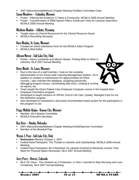2007 Midcontinental/Midwest Chapter Meeting Facilities Committee Chair.

#### Susan Meadows – Columbia, Missouri

- **Poster Filtering the Evidence: It Takes a Community, MCMLA 2006 Annual Meeting.**
- **Poster Transformation of EBM Search Filters: Enhanced Tools for Librarian Searchers,** MCMLA 2006 Annual Meeting.

#### Michlene Mankin – Gillette, Wyoming

- Taught class on Clinical Resources for the Clinical Resource Nurse.
- MCMLA Recording Secretary

# Russ Monika, St. Louis, Missouri

- Created an online submission form for the MCMLA Stars Program.
- MCMLA Web Editor.

#### Allyson Mower - Salt Lake City, Utah

 Poster - Nancy Lombardo and Allyson Mower, Putting Wikis to Work in Libraries, MLA 2007 Annual Meeting

# Betsy Mueth - St. Louis, Missouri

 Due to the loss of a staff member, I took on the complete administration of our house-wide Learning Management System. So in addition to creation & maintenance for approximately 50 online courses, I also maintain the database, assigning passwords, debugging program issues, coordinating data entry, creating & running all reports, etc.



- Team-taught the Direct Patient Care Employee Computer course in the hospital New Employee Orientation program.
- Developed & taught sections on HIPAA, End-of Life Care, Quality, Managed Care for our RN Refresher program.
- Also developed & maintained a discussion forum/bulletin board system for the participants in the program to use.

# Peggy Mullaly-Quijas - Kansas City, Missouri

- Member, MLA Bylaws Committee
- MCMLA Executive Secretary

# Ken Oyer – Omaha, Nebraska

- 2007 Midcontinental/Midwest Chapter Meeting Exhibit/Sponsor Committee
- Member of the Bearded Pigs

# Wayne J. Peay - Salt Lake City, Utah

- **Retirement** effective October 1, 2007.
- Invited Panel Participant: The Threats to Libraries and Librarianship, MCMLA 2006 Annual Meeting.
- **Invited Panel Participant: Be It Resolved: As Libraries Evolved to Electronic Access Their** Need for Physical Space Decreases, MLA 2007 Annual Meeting

# Jerry Perry - Denver, Colorado

 MLA CE Class - The Librarian as a Profession, or How I Learned to Stop Worrying and Love Complexity, MLA 2007 Annual Meeting.

October 2007 10 of 13 MCMLA STARS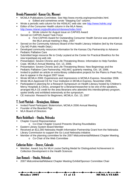# Brenda Pfannenstiel - Kansas City, Missouri

- MCMLA Publications Committee. See http://www.mcmla.org/express/index.html.
	- o Edited and sometimes wrote "Stepping Out" column.
- Wrote a periodic web column for the HSNLKC web site: see<http://www.hslnkc.org/>
- **Editor of the Consumer Health column in the MLA News;** <http://www.mlanet.org/publications/mlanews/index.html>;
	- o Wrote column for August issue on CAPHIS Award
- **Served on CAPHIS Award Task Force** 
	- o First CAPHIS Award for Outstanding Consumer Health Service was presented at the MLA annual meeting in May, 2007
- Served on the Community Advisory Board of the Health Literacy Initiative (led by the Kansas City MO Public Health Dept.)
- Developed community resources information for the Kansas City Partnership to Advance Pediatric Palliative Care
- Submitted large resource file to Cindy Leyland at the Center for Practical Bioethics for the new kcpedspal.org web site
- **Presentation: Severe Chronic and Life-Threatening Illness: Information to Help Families** Cope. MCMLA Annual Meeting, Oct. 13, 2006.
- Presentation: Severe Chronic and Life-Threatening Illness: New Beginnings and the Pediatric Palliative Care Partnership. HSLNKC quarterly meeting, Oct. 18, 2006.
- **Invited to publish an article on extra-library collaborative projects for the Plains to Peak Post,** due to appear in the August 2007 issue.
- Wrote MCMLA 2006: Experiences and Impressions in MCMLA Express. November 2006.
- Wrote MLA-Approved CE for Your Institution in MCMLA Express, November 2006.
- Participated in planning for a Research Symposium on Health Literacy hosted by Children's Mercy Hospitals & Clinics, arranged for a librarian/researcher to be one of the speakers, arranged MLA CE credit for the area librarians who attended this interdisciplinary program, spoke briefly and exhibited extensively at the symposium.
- CE instructor: Research for Beginners, MCMLA, Oct. 13, 2007

# T. Scott Plutchak – Birmingham, Alabama

- Invited Panel Participant: Bioterrorism, MCMLA 2006 Annual Meeting
- **Founder of the Bearded Pigs**
- MLA Board of Directors

# Marie Reidelbach – Omaha, Nebraska

- Chapter Council Representative
	- o Co-Chair Chapter Council Presents Sharing Roundtables
- **Eastern Library System Board Member**
- Received an \$11,000 Nebraska Health Information Partnership Grant from the Nebraska Library Commission to support the Go Local Nebraska initiative.
- Member of the planning committee for the 2007 Midcontinental/Midwest Chapter Meeting. o Co-Chair of the Web Committee

#### Catherine Reiter – Denver, Colorado

 Member, Award Jury for MLA Louise Darling Medal for Distinguished Achievement in Collection Development in the Health Sciences

#### Jane Romack – Omaha, Nebraska

**2007 Midcontinental/Midwest Chapter Meeting Exhibit/Sponsor Committee Chair** 

October 2007 11 of 13 MCMLA STARS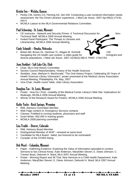# Kristin Sen – Wichita, Kansas

- Perley CM, Gentry CA, Fleming AS, Sen KM. Conducting a user-centered information needs assessment: the Via Christi Libraries' experience. J Med Libr Assoc. 2007 Apr;95(2):173-81, e54-5.
- MCMLA Liaison to the MLA Governmental Relations Committee.

#### Paul Schoening - St. Louis, Missouri

- CE Instructor Network and Security Primer: A Technical Discussion for Theorem 2001 Technical Staff, MCMLA 2006 Annual Meeting.
- **Invited Panel Participant: The Threats to Libraries and** Librarianship, MCMLA 2006 Annual Meeting,

#### Cindy Schmidt – Omaha, Nebraska

Bobal AM, Brown HL, Hartman TL, Magee M, Schmidt CM. Navigating the US health care system: a video guide for **immigrant and** immigrant and diverse populations. J Med Libr Assoc. 2007 Jul;95(3):286-9. PMID: 17641762

# Joan Stoddart - Salt Lake City, Utah

- Chair, MLA Oral History Committee
- **Section Council Representative, History of the Health Sciences**
- Stoddart, Joan, Marlyse H. MacDonald, "The Oral History Project: Celebrating 30 Years of Health Sciences Library Visionaries", poster presented at the Medical Library Association Annual Meeting, Philadelphia, PA, May, 2007
- Vice-Chair, Health round Table, Utah Library Association

# Donghua Tao - St. Louis, Missouri

- Poster How Do I Find...Usability of the Medical Center Library's Web Site: Implications for Redesign, MCMLA 2006 Annual Meeting.
- Winner of the Research Award for Posters, MCMLA 2006 Annual Meeting.

# Kathy Tacke - Rock Springs, Wyoming

- **RML Advisory Committee Member**
- **Web Page content re: Emergency Services contacts**
- Classes: PubMed to nursing students, physicians and staff
- Grant Writer: \$32,000 in training grants
- MCMLA 2008 planning committee

# Lisa Traditi – Denver, Colorado

- **RML Advisory Board Member**
- Distinguished Member of AHIP renewed at same level
- Candidate for MLA Board failed, but honored to be nominated!
- Compiler of the STARS listing

#### Deb Ward – Columbia, Missouri

- Paper Gathering Evidence: Exploring the Value of Information-specialist-in-context Services to two Clinical Areas. Kate Anderson, MaryEllen Sievert, E. Diane Johnson, C. Trenton Boyd, Deborah H. Ward; MLA 2007 Annual Meeting.
- Poster Morning Report and All That: New Services to a Child Health Department. Kate Anderson, MaryEllen Sievert, E. Diane Johnson, Deborah H. Ward; MLA 2007 Annual Meeting.

October 2007 12 of 13 MCMLA STARS